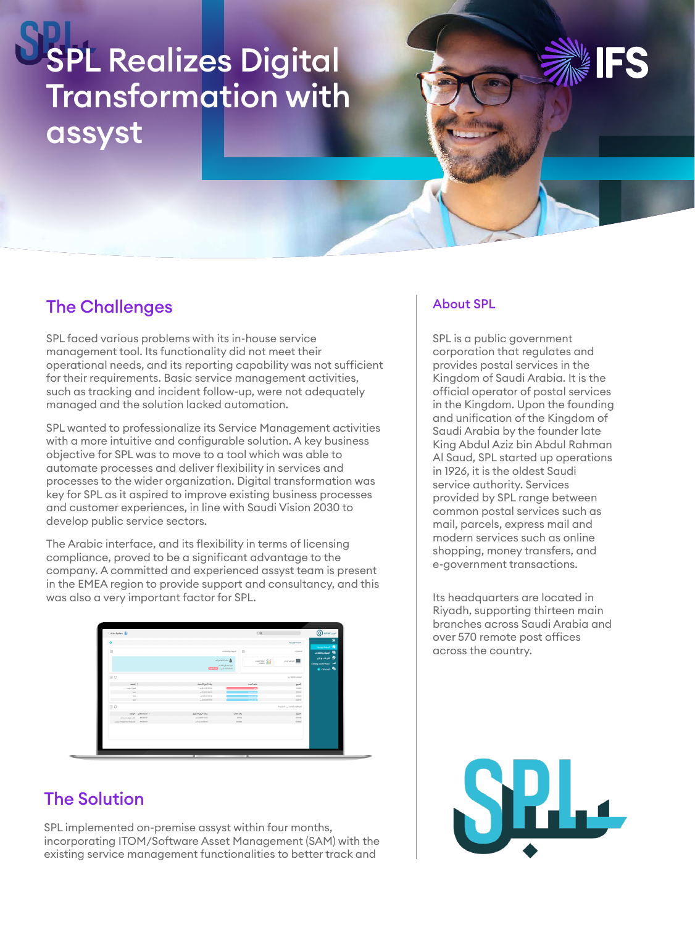# SPL Realizes Digital Transformation with assyst

### The Challenges

SPL faced various problems with its in-house service management tool. Its functionality did not meet their operational needs, and its reporting capability was not sufficient for their requirements. Basic service management activities, such as tracking and incident follow-up, were not adequately managed and the solution lacked automation.

SPL wanted to professionalize its Service Management activities with a more intuitive and configurable solution. A key business objective for SPL was to move to a tool which was able to automate processes and deliver flexibility in services and processes to the wider organization. Digital transformation was key for SPL as it aspired to improve existing business processes and customer experiences, in line with Saudi Vision 2030 to develop public service sectors.

The Arabic interface, and its flexibility in terms of licensing compliance, proved to be a significant advantage to the company. A committed and experienced assyst team is present in the EMEA region to provide support and consultancy, and this was also a very important factor for SPL.



### The Solution

SPL implemented on-premise assyst within four months, incorporating ITOM/Software Asset Management (SAM) with the existing service management functionalities to better track and

#### About SPL

SPL is a public government corporation that regulates and provides postal services in the Kingdom of Saudi Arabia. It is the official operator of postal services in the Kingdom. Upon the founding and unification of the Kingdom of Saudi Arabia by the founder late King Abdul Aziz bin Abdul Rahman Al Saud, SPL started up operations in 1926, it is the oldest Saudi service authority. Services provided by SPL range between common postal services such as mail, parcels, express mail and modern services such as online shopping, money transfers, and e-government transactions.

Its headquarters are located in Riyadh, supporting thirteen main branches across Saudi Arabia and over 570 remote post offices across the country.